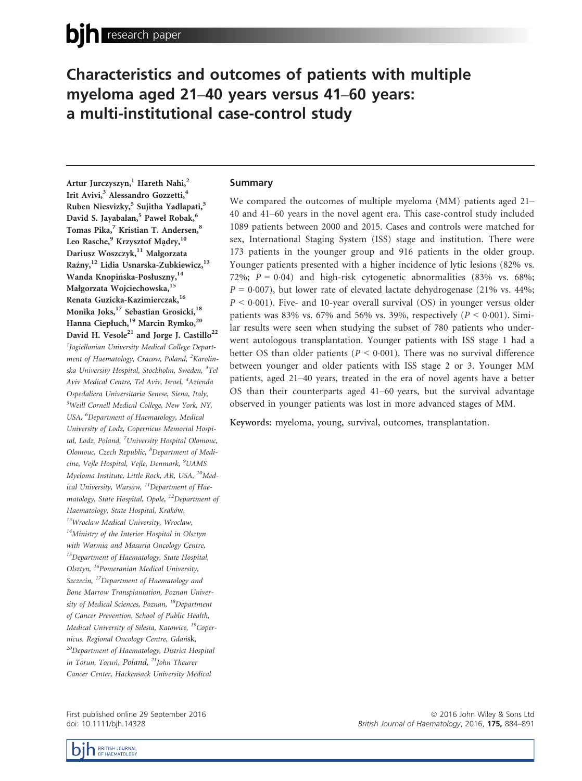# Characteristics and outcomes of patients with multiple myeloma aged 21–40 years versus 41–60 years: a multi-institutional case-control study

Artur Jurczyszyn,<sup>1</sup> Hareth Nahi,<sup>2</sup> Irit Avivi,<sup>3</sup> Alessandro Gozzetti,<sup>4</sup> Ruben Niesvizky,<sup>5</sup> Sujitha Yadlapati,<sup>5</sup> David S. Jayabalan,<sup>5</sup> Paweł Robak,<sup>6</sup> Tomas Pika,<sup>7</sup> Kristian T. Andersen,<sup>8</sup> Leo Rasche,<sup>9</sup> Krzysztof Madry,<sup>10</sup> Dariusz Woszczyk,<sup>11</sup> Małgorzata Raźny,<sup>12</sup> Lidia Usnarska-Zubkiewicz,<sup>13</sup> Wanda Knopińska-Posłuszny, <sup>14</sup> Małgorzata Wojciechowska,<sup>15</sup> Renata Guzicka-Kazimierczak,<sup>16</sup> Monika Joks,<sup>17</sup> Sebastian Grosicki,<sup>18</sup> Hanna Ciepłuch,<sup>19</sup> Marcin Rymko,<sup>20</sup> David H. Vesole<sup>21</sup> and Jorge J. Castillo<sup>22</sup>

<sup>1</sup>Jagiellonian University Medical College Department of Haematology, Cracow, Poland, <sup>2</sup>Karolinska University Hospital, Stockholm, Sweden, <sup>3</sup>Tel Aviv Medical Centre, Tel Aviv, Israel, <sup>4</sup>Azienda Ospedaliera Universitaria Senese, Siena, Italy, 5 Weill Cornell Medical College, New York, NY, USA, <sup>6</sup>Department of Haematology, Medical University of Lodz, Copernicus Memorial Hospital, Lodz, Poland, <sup>7</sup>University Hospital Olomouc, Olomouc, Czech Republic, <sup>8</sup>Department of Medicine, Vejle Hospital, Vejle, Denmark, <sup>9</sup>UAMS Myeloma Institute, Little Rock, AR, USA, <sup>10</sup>Medical University, Warsaw,  $^{11}$ Department of Haematology, State Hospital, Opole, <sup>12</sup>Department of Haematology, State Hospital, Kraków, <sup>13</sup>Wroclaw Medical University, Wroclaw,  $14$ Ministry of the Interior Hospital in Olsztyn with Warmia and Masuria Oncology Centre, <sup>15</sup>Department of Haematology, State Hospital, Olsztyn, 16Pomeranian Medical University, Szczecin, <sup>17</sup>Department of Haematology and Bone Marrow Transplantation, Poznan University of Medical Sciences, Poznan, <sup>18</sup>Department of Cancer Prevention, School of Public Health, Medical University of Silesia, Katowice, <sup>19</sup>Copernicus. Regional Oncology Centre, Gdansk, <sup>20</sup>Department of Haematology, District Hospital in Torun, Toruń, Poland, <sup>21</sup>John Theurer Cancer Center, Hackensack University Medical

First published online 29 September 2016 doi: 10.1111/bjh.14328

### Summary

We compared the outcomes of multiple myeloma (MM) patients aged 21– 40 and 41–60 years in the novel agent era. This case-control study included 1089 patients between 2000 and 2015. Cases and controls were matched for sex, International Staging System (ISS) stage and institution. There were 173 patients in the younger group and 916 patients in the older group. Younger patients presented with a higher incidence of lytic lesions (82% vs. 72%;  $P = 0.04$ ) and high-risk cytogenetic abnormalities (83% vs. 68%;  $P = 0.007$ ), but lower rate of elevated lactate dehydrogenase (21% vs. 44%;  $P < 0.001$ ). Five- and 10-year overall survival (OS) in younger versus older patients was 83% vs. 67% and 56% vs. 39%, respectively ( $P < 0.001$ ). Similar results were seen when studying the subset of 780 patients who underwent autologous transplantation. Younger patients with ISS stage 1 had a better OS than older patients ( $P < 0.001$ ). There was no survival difference between younger and older patients with ISS stage 2 or 3. Younger MM patients, aged 21–40 years, treated in the era of novel agents have a better OS than their counterparts aged 41–60 years, but the survival advantage observed in younger patients was lost in more advanced stages of MM.

Keywords: myeloma, young, survival, outcomes, transplantation.

**BRITISH JOURNAL** OF HAEMATOLOGY

ª 2016 John Wiley & Sons Ltd British Journal of Haematology, 2016, 175, 884-891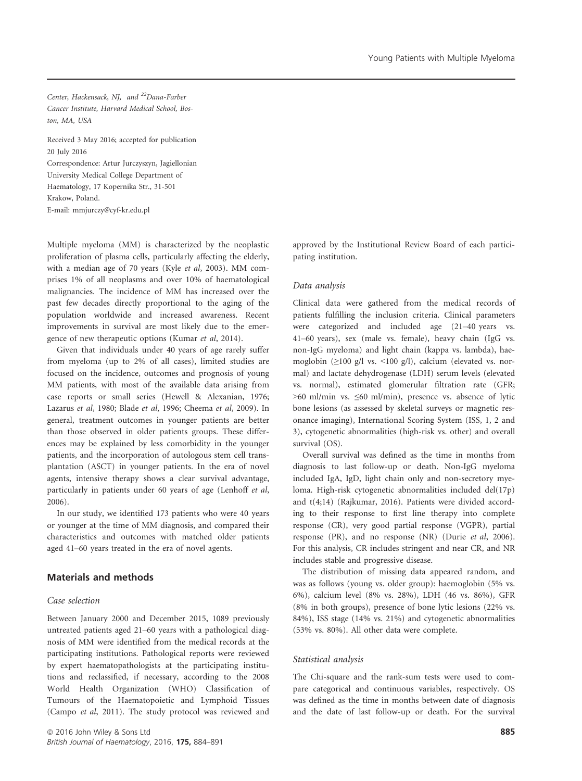Center, Hackensack, NJ, and 22Dana-Farber Cancer Institute, Harvard Medical School, Boston, MA, USA

Received 3 May 2016; accepted for publication 20 July 2016 Correspondence: Artur Jurczyszyn, Jagiellonian University Medical College Department of Haematology, 17 Kopernika Str., 31-501 Krakow, Poland. E-mail: mmjurczy@cyf-kr.edu.pl

Multiple myeloma (MM) is characterized by the neoplastic proliferation of plasma cells, particularly affecting the elderly, with a median age of 70 years (Kyle et al, 2003). MM comprises 1% of all neoplasms and over 10% of haematological malignancies. The incidence of MM has increased over the past few decades directly proportional to the aging of the population worldwide and increased awareness. Recent improvements in survival are most likely due to the emergence of new therapeutic options (Kumar et al, 2014).

Given that individuals under 40 years of age rarely suffer from myeloma (up to 2% of all cases), limited studies are focused on the incidence, outcomes and prognosis of young MM patients, with most of the available data arising from case reports or small series (Hewell & Alexanian, 1976; Lazarus et al, 1980; Blade et al, 1996; Cheema et al, 2009). In general, treatment outcomes in younger patients are better than those observed in older patients groups. These differences may be explained by less comorbidity in the younger patients, and the incorporation of autologous stem cell transplantation (ASCT) in younger patients. In the era of novel agents, intensive therapy shows a clear survival advantage, particularly in patients under 60 years of age (Lenhoff et al, 2006).

In our study, we identified 173 patients who were 40 years or younger at the time of MM diagnosis, and compared their characteristics and outcomes with matched older patients aged 41–60 years treated in the era of novel agents.

# Materials and methods

### Case selection

Between January 2000 and December 2015, 1089 previously untreated patients aged 21–60 years with a pathological diagnosis of MM were identified from the medical records at the participating institutions. Pathological reports were reviewed by expert haematopathologists at the participating institutions and reclassified, if necessary, according to the 2008 World Health Organization (WHO) Classification of Tumours of the Haematopoietic and Lymphoid Tissues (Campo et al, 2011). The study protocol was reviewed and approved by the Institutional Review Board of each participating institution.

#### Data analysis

Clinical data were gathered from the medical records of patients fulfilling the inclusion criteria. Clinical parameters were categorized and included age (21–40 years vs. 41–60 years), sex (male vs. female), heavy chain (IgG vs. non-IgG myeloma) and light chain (kappa vs. lambda), haemoglobin (≥100 g/l vs. <100 g/l), calcium (elevated vs. normal) and lactate dehydrogenase (LDH) serum levels (elevated vs. normal), estimated glomerular filtration rate (GFR; >60 ml/min vs. ≤60 ml/min), presence vs. absence of lytic bone lesions (as assessed by skeletal surveys or magnetic resonance imaging), International Scoring System (ISS, 1, 2 and 3), cytogenetic abnormalities (high-risk vs. other) and overall survival (OS).

Overall survival was defined as the time in months from diagnosis to last follow-up or death. Non-IgG myeloma included IgA, IgD, light chain only and non-secretory myeloma. High-risk cytogenetic abnormalities included del(17p) and t(4;14) (Rajkumar, 2016). Patients were divided according to their response to first line therapy into complete response (CR), very good partial response (VGPR), partial response (PR), and no response (NR) (Durie et al, 2006). For this analysis, CR includes stringent and near CR, and NR includes stable and progressive disease.

The distribution of missing data appeared random, and was as follows (young vs. older group): haemoglobin (5% vs. 6%), calcium level (8% vs. 28%), LDH (46 vs. 86%), GFR (8% in both groups), presence of bone lytic lesions (22% vs. 84%), ISS stage (14% vs. 21%) and cytogenetic abnormalities (53% vs. 80%). All other data were complete.

#### Statistical analysis

The Chi-square and the rank-sum tests were used to compare categorical and continuous variables, respectively. OS was defined as the time in months between date of diagnosis and the date of last follow-up or death. For the survival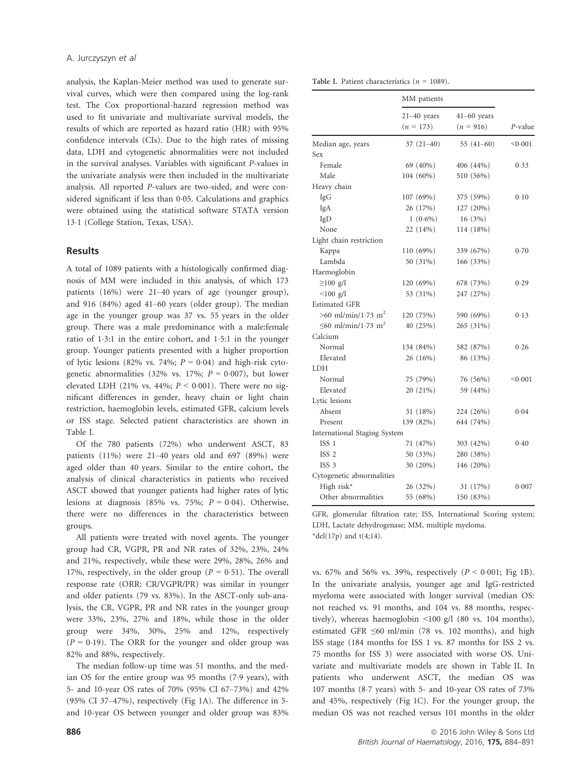analysis, the Kaplan-Meier method was used to generate survival curves, which were then compared using the log-rank test. The Cox proportional-hazard regression method was used to fit univariate and multivariate survival models, the results of which are reported as hazard ratio (HR) with 95% confidence intervals (CIs). Due to the high rates of missing data, LDH and cytogenetic abnormalities were not included in the survival analyses. Variables with significant P-values in the univariate analysis were then included in the multivariate analysis. All reported P-values are two-sided, and were considered significant if less than 0.05. Calculations and graphics were obtained using the statistical software STATA version 131 (College Station, Texas, USA).

### Results

A total of 1089 patients with a histologically confirmed diagnosis of MM were included in this analysis, of which 173 patients (16%) were 21–40 years of age (younger group), and 916 (84%) aged 41–60 years (older group). The median age in the younger group was 37 vs. 55 years in the older group. There was a male predominance with a male:female ratio of 13:1 in the entire cohort, and 15:1 in the younger group. Younger patients presented with a higher proportion of lytic lesions (82% vs. 74%;  $P = 0.04$ ) and high-risk cytogenetic abnormalities (32% vs. 17%;  $P = 0.007$ ), but lower elevated LDH (21% vs. 44%;  $P < 0.001$ ). There were no significant differences in gender, heavy chain or light chain restriction, haemoglobin levels, estimated GFR, calcium levels or ISS stage. Selected patient characteristics are shown in Table I.

Of the 780 patients (72%) who underwent ASCT, 83 patients (11%) were 21–40 years old and 697 (89%) were aged older than 40 years. Similar to the entire cohort, the analysis of clinical characteristics in patients who received ASCT showed that younger patients had higher rates of lytic lesions at diagnosis (85% vs. 75%;  $P = 0.04$ ). Otherwise, there were no differences in the characteristics between groups.

All patients were treated with novel agents. The younger group had CR, VGPR, PR and NR rates of 32%, 23%, 24% and 21%, respectively, while these were 29%, 28%, 26% and 17%, respectively, in the older group ( $P = 0.51$ ). The overall response rate (ORR: CR/VGPR/PR) was similar in younger and older patients (79 vs. 83%). In the ASCT-only sub-analysis, the CR, VGPR, PR and NR rates in the younger group were 33%, 23%, 27% and 18%, while those in the older group were 34%, 30%, 25% and 12%, respectively  $(P = 0.19)$ . The ORR for the younger and older group was 82% and 88%, respectively.

The median follow-up time was 51 months, and the median OS for the entire group was 95 months (79 years), with 5- and 10-year OS rates of 70% (95% CI 67–73%) and 42% (95% CI 37–47%), respectively (Fig 1A). The difference in 5 and 10-year OS between younger and older group was 83%

Table I. Patient characteristics ( $n = 1089$ ).

|                                      | MM patients                    |                              |         |
|--------------------------------------|--------------------------------|------------------------------|---------|
|                                      | $21 - 40$ years<br>$(n = 173)$ | $41-60$ years<br>$(n = 916)$ | P-value |
| Median age, years                    | $37(21-40)$                    | 55 $(41-60)$                 | < 0.001 |
| Sex                                  |                                |                              |         |
| Female                               | 69 (40%)                       | 406 (44%)                    | 0.33    |
| Male                                 | 104 (60%)                      | 510 (56%)                    |         |
| Heavy chain                          |                                |                              |         |
| IgG                                  | 107 (69%)                      | 375 (59%)                    | 0.10    |
| IgA                                  | 26 (17%)                       | 127 (20%)                    |         |
| IgD                                  | $1(0.6\%)$                     | 16(3%)                       |         |
| None                                 | 22 (14%)                       | 114 (18%)                    |         |
| Light chain restriction              |                                |                              |         |
| Kappa                                | 110(69%)                       | 339 (67%)                    | 0.70    |
| Lambda                               | 50 (31%)                       | 166 (33%)                    |         |
| Haemoglobin                          |                                |                              |         |
| $\geq$ 100 g/l                       | 120 (69%)                      | 678 (73%)                    | 0.29    |
| $< 100$ g/l                          | 53 (31%)                       | 247 (27%)                    |         |
| <b>Estimated GFR</b>                 |                                |                              |         |
| $>60$ ml/min/1.73 m <sup>2</sup>     | 120 (75%)                      | 590 (69%)                    | 0.13    |
| $\leq 60$ ml/min/1.73 m <sup>2</sup> | 40 (25%)                       | 265 (31%)                    |         |
| Calcium                              |                                |                              |         |
| Normal                               | 134 (84%)                      | 582 (87%)                    | 0.26    |
| Elevated                             | 26 (16%)                       | 86 (13%)                     |         |
| <b>LDH</b>                           |                                |                              |         |
| Normal                               | 75 (79%)                       | 76 (56%)                     | < 0.001 |
| Elevated                             | 20 (21%)                       | 59 (44%)                     |         |
| Lytic lesions                        |                                |                              |         |
| Absent                               | 31 (18%)                       | 224 (26%)                    | 0.04    |
| Present                              | 139 (82%)                      | 644 (74%)                    |         |
| International Staging System         |                                |                              |         |
| ISS 1                                | 71 (47%)                       | 303 (42%)                    | 0.40    |
| ISS <sub>2</sub>                     | 50 (33%)                       | 280 (38%)                    |         |
| ISS <sub>3</sub>                     | 30 (20%)                       | 146 (20%)                    |         |
| Cytogenetic abnormalities            |                                |                              |         |
| High risk*                           | 26 (32%)                       | 31 (17%)                     | 0.007   |
| Other abnormalities                  | 55 (68%)                       | 150 (83%)                    |         |

GFR, glomerular filtration rate; ISS, International Scoring system; LDH, Lactate dehydrogenase; MM, multiple myeloma. \*del(17p) and  $t(4;14)$ .

vs. 67% and 56% vs. 39%, respectively ( $P < 0.001$ ; Fig 1B). In the univariate analysis, younger age and IgG-restricted myeloma were associated with longer survival (median OS: not reached vs. 91 months, and 104 vs. 88 months, respectively), whereas haemoglobin <100 g/l (80 vs. 104 months), estimated GFR ≤60 ml/min (78 vs. 102 months), and high ISS stage (184 months for ISS 1 vs. 87 months for ISS 2 vs. 75 months for ISS 3) were associated with worse OS. Univariate and multivariate models are shown in Table II. In patients who underwent ASCT, the median OS was 107 months (87 years) with 5- and 10-year OS rates of 73% and 45%, respectively (Fig 1C). For the younger group, the median OS was not reached versus 101 months in the older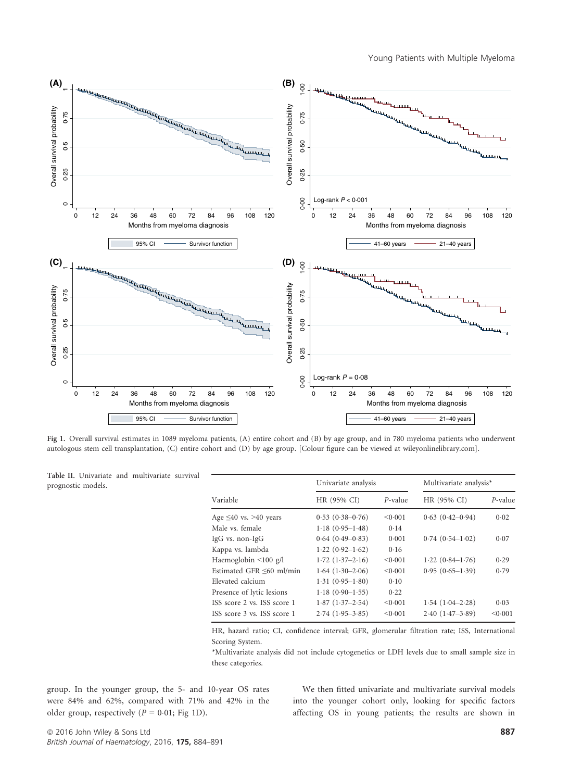

Fig 1. Overall survival estimates in 1089 myeloma patients, (A) entire cohort and (B) by age group, and in 780 myeloma patients who underwent autologous stem cell transplantation, (C) entire cohort and (D) by age group. [Colour figure can be viewed at [wileyonlinelibrary.com\]](wileyonlinelibrary.com).

Table II. Univariate and multivariate survival prognostic models.

|                             | Univariate analysis  |            | Multivariate analysis* |            |
|-----------------------------|----------------------|------------|------------------------|------------|
| Variable                    | HR (95% CI)          | $P$ -value | HR (95% CI)            | $P$ -value |
| Age $\leq 40$ vs. >40 years | $0.53(0.38 - 0.76)$  | < 0.001    | $0.63(0.42 - 0.94)$    | 0.02       |
| Male vs. female             | $1.18(0.95-1.48)$    | 0.14       |                        |            |
| $IgG$ vs. non- $IgG$        | $0.64(0.49-0.83)$    | 0.001      | $0.74(0.54-1.02)$      | 0.07       |
| Kappa vs. lambda            | $1.22(0.92 - 1.62)$  | 0.16       |                        |            |
| Haemoglobin <100 g/l        | $1.72(1.37-2.16)$    | < 0.001    | $1.22(0.84-1.76)$      | 0.29       |
| Estimated GFR <60 ml/min    | $1.64$ $(1.30-2.06)$ | < 0.001    | $0.95(0.65-1.39)$      | 0.79       |
| Elevated calcium            | $1.31(0.95-1.80)$    | 0.10       |                        |            |
| Presence of lytic lesions   | $1.18(0.90-1.55)$    | 0.22       |                        |            |
| ISS score 2 vs. ISS score 1 | $1.87(1.37-2.54)$    | < 0.001    | $1.54(1.04-2.28)$      | 0.03       |
| ISS score 3 vs. ISS score 1 | $2.74(1.95-3.85)$    | < 0.001    | $2.40(1.47-3.89)$      | < 0.001    |

HR, hazard ratio; CI, confidence interval; GFR, glomerular filtration rate; ISS, International Scoring System.

\*Multivariate analysis did not include cytogenetics or LDH levels due to small sample size in these categories.

group. In the younger group, the 5- and 10-year OS rates were 84% and 62%, compared with 71% and 42% in the older group, respectively ( $P = 0.01$ ; Fig 1D).

We then fitted univariate and multivariate survival models into the younger cohort only, looking for specific factors affecting OS in young patients; the results are shown in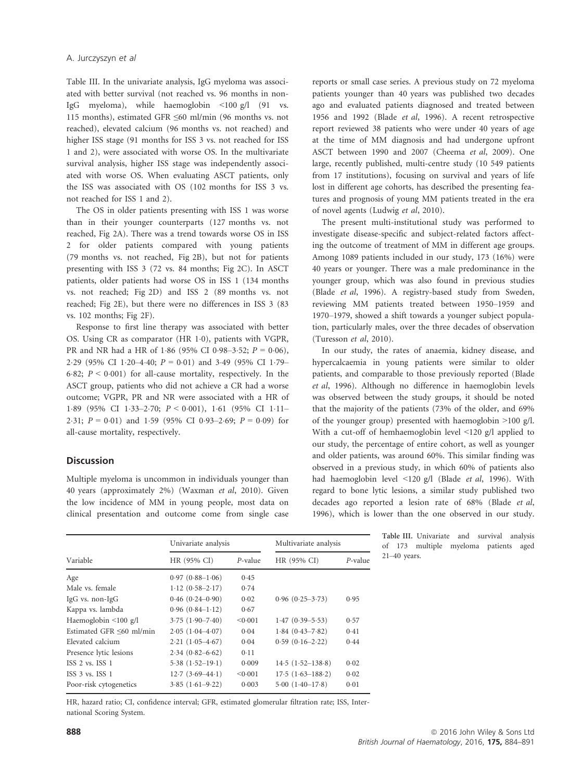Table III. In the univariate analysis, IgG myeloma was associated with better survival (not reached vs. 96 months in non-IgG myeloma), while haemoglobin <100 g/l (91 vs. 115 months), estimated GFR ≤60 ml/min (96 months vs. not reached), elevated calcium (96 months vs. not reached) and higher ISS stage (91 months for ISS 3 vs. not reached for ISS 1 and 2), were associated with worse OS. In the multivariate survival analysis, higher ISS stage was independently associated with worse OS. When evaluating ASCT patients, only the ISS was associated with OS (102 months for ISS 3 vs. not reached for ISS 1 and 2).

The OS in older patients presenting with ISS 1 was worse than in their younger counterparts (127 months vs. not reached, Fig 2A). There was a trend towards worse OS in ISS 2 for older patients compared with young patients (79 months vs. not reached, Fig 2B), but not for patients presenting with ISS 3 (72 vs. 84 months; Fig 2C). In ASCT patients, older patients had worse OS in ISS 1 (134 months vs. not reached; Fig 2D) and ISS 2 (89 months vs. not reached; Fig 2E), but there were no differences in ISS 3 (83 vs. 102 months; Fig 2F).

Response to first line therapy was associated with better OS. Using CR as comparator (HR 1.0), patients with VGPR, PR and NR had a HR of 1.86 (95% CI 0.98–3.52;  $P = 0.06$ ), 2.29 (95% CI 1.20–4.40;  $P = 0.01$ ) and 3.49 (95% CI 1.79– 6.82;  $P < 0.001$ ) for all-cause mortality, respectively. In the ASCT group, patients who did not achieve a CR had a worse outcome; VGPR, PR and NR were associated with a HR of 1.89 (95% CI 1.33-2.70;  $P < 0.001$ ), 1.61 (95% CI 1.11-2.31;  $P = 0.01$ ) and 1.59 (95% CI 0.93-2.69;  $P = 0.09$ ) for all-cause mortality, respectively.

## **Discussion**

Multiple myeloma is uncommon in individuals younger than 40 years (approximately 2%) (Waxman et al, 2010). Given the low incidence of MM in young people, most data on clinical presentation and outcome come from single case reports or small case series. A previous study on 72 myeloma patients younger than 40 years was published two decades ago and evaluated patients diagnosed and treated between 1956 and 1992 (Blade et al, 1996). A recent retrospective report reviewed 38 patients who were under 40 years of age at the time of MM diagnosis and had undergone upfront ASCT between 1990 and 2007 (Cheema et al, 2009). One large, recently published, multi-centre study (10 549 patients from 17 institutions), focusing on survival and years of life lost in different age cohorts, has described the presenting features and prognosis of young MM patients treated in the era of novel agents (Ludwig et al, 2010).

The present multi-institutional study was performed to investigate disease-specific and subject-related factors affecting the outcome of treatment of MM in different age groups. Among 1089 patients included in our study, 173 (16%) were 40 years or younger. There was a male predominance in the younger group, which was also found in previous studies (Blade et al, 1996). A registry-based study from Sweden, reviewing MM patients treated between 1950–1959 and 1970–1979, showed a shift towards a younger subject population, particularly males, over the three decades of observation (Turesson et al, 2010).

In our study, the rates of anaemia, kidney disease, and hypercalcaemia in young patients were similar to older patients, and comparable to those previously reported (Blade et al, 1996). Although no difference in haemoglobin levels was observed between the study groups, it should be noted that the majority of the patients (73% of the older, and 69% of the younger group) presented with haemoglobin >100 g/l. With a cut-off of hemhaemoglobin level <120 g/l applied to our study, the percentage of entire cohort, as well as younger and older patients, was around 60%. This similar finding was observed in a previous study, in which 60% of patients also had haemoglobin level <120 g/l (Blade et al, 1996). With regard to bone lytic lesions, a similar study published two decades ago reported a lesion rate of 68% (Blade et al, 1996), which is lower than the one observed in our study.

| Variable                   | Univariate analysis |            | Multivariate analysis |            |
|----------------------------|---------------------|------------|-----------------------|------------|
|                            | HR (95% CI)         | $P$ -value | HR (95% CI)           | $P$ -value |
| Age                        | $0.97(0.88-1.06)$   | 0.45       |                       |            |
| Male vs. female            | $1.12(0.58-2.17)$   | 0.74       |                       |            |
| $IgG$ vs. non- $IgG$       | $0.46(0.24 - 0.90)$ | 0.02       | $0.96(0.25 - 3.73)$   | 0.95       |
| Kappa vs. lambda           | $0.96(0.84-1.12)$   | 0.67       |                       |            |
| Haemoglobin $\leq 100$ g/l | $3.75(1.90 - 7.40)$ | < 0.001    | $1.47(0.39 - 5.53)$   | 0.57       |
| Estimated GFR <60 ml/min   | $2.05(1.04 - 4.07)$ | 0.04       | $1.84(0.43 - 7.82)$   | 0.41       |
| Elevated calcium           | $2.21(1.05-4.67)$   | 0.04       | $0.59(0.16-2.22)$     | 0.44       |
| Presence lytic lesions     | $2.34(0.82 - 6.62)$ | 0.11       |                       |            |
| ISS 2 vs. ISS 1            | $5.38(1.52 - 19.1)$ | 0.009      | $14.5(1.52 - 138.8)$  | 0.02       |
| ISS 3 vs. ISS 1            | $12.7(3.69-44.1)$   | < 0.001    | $17.5(1.63 - 188.2)$  | 0.02       |
| Poor-risk cytogenetics     | $3.85(1.61-9.22)$   | 0.003      | $5.00(1.40-17.8)$     | 0.01       |

Table III. Univariate and survival analysis of 173 multiple myeloma patients aged 21–40 years.

HR, hazard ratio; CI, confidence interval; GFR, estimated glomerular filtration rate; ISS, International Scoring System.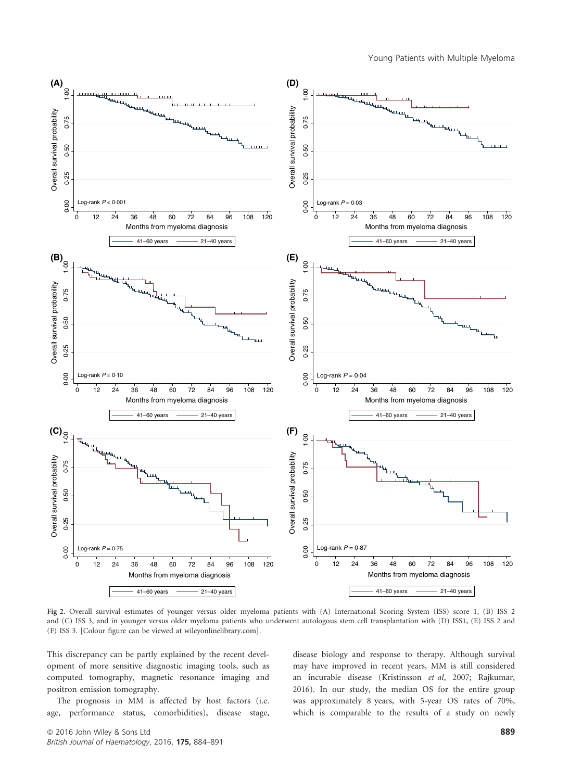

Fig 2. Overall survival estimates of younger versus older myeloma patients with (A) International Scoring System (ISS) score 1, (B) ISS 2 and (C) ISS 3, and in younger versus older myeloma patients who underwent autologous stem cell transplantation with (D) ISS1, (E) ISS 2 and (F) ISS 3. [Colour figure can be viewed at<wileyonlinelibrary.com>].

This discrepancy can be partly explained by the recent development of more sensitive diagnostic imaging tools, such as computed tomography, magnetic resonance imaging and positron emission tomography.

The prognosis in MM is affected by host factors (i.e. age, performance status, comorbidities), disease stage, disease biology and response to therapy. Although survival may have improved in recent years, MM is still considered an incurable disease (Kristinsson et al, 2007; Rajkumar, 2016). In our study, the median OS for the entire group was approximately 8 years, with 5-year OS rates of 70%, which is comparable to the results of a study on newly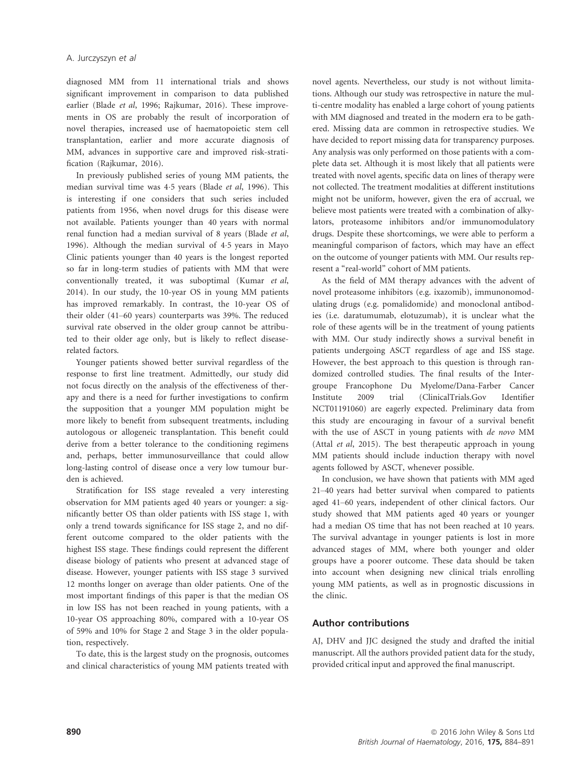diagnosed MM from 11 international trials and shows significant improvement in comparison to data published earlier (Blade et al, 1996; Rajkumar, 2016). These improvements in OS are probably the result of incorporation of novel therapies, increased use of haematopoietic stem cell transplantation, earlier and more accurate diagnosis of MM, advances in supportive care and improved risk-stratification (Rajkumar, 2016).

In previously published series of young MM patients, the median survival time was 45 years (Blade et al, 1996). This is interesting if one considers that such series included patients from 1956, when novel drugs for this disease were not available. Patients younger than 40 years with normal renal function had a median survival of 8 years (Blade et al, 1996). Although the median survival of 45 years in Mayo Clinic patients younger than 40 years is the longest reported so far in long-term studies of patients with MM that were conventionally treated, it was suboptimal (Kumar et al, 2014). In our study, the 10-year OS in young MM patients has improved remarkably. In contrast, the 10-year OS of their older (41–60 years) counterparts was 39%. The reduced survival rate observed in the older group cannot be attributed to their older age only, but is likely to reflect diseaserelated factors.

Younger patients showed better survival regardless of the response to first line treatment. Admittedly, our study did not focus directly on the analysis of the effectiveness of therapy and there is a need for further investigations to confirm the supposition that a younger MM population might be more likely to benefit from subsequent treatments, including autologous or allogeneic transplantation. This benefit could derive from a better tolerance to the conditioning regimens and, perhaps, better immunosurveillance that could allow long-lasting control of disease once a very low tumour burden is achieved.

Stratification for ISS stage revealed a very interesting observation for MM patients aged 40 years or younger: a significantly better OS than older patients with ISS stage 1, with only a trend towards significance for ISS stage 2, and no different outcome compared to the older patients with the highest ISS stage. These findings could represent the different disease biology of patients who present at advanced stage of disease. However, younger patients with ISS stage 3 survived 12 months longer on average than older patients. One of the most important findings of this paper is that the median OS in low ISS has not been reached in young patients, with a 10-year OS approaching 80%, compared with a 10-year OS of 59% and 10% for Stage 2 and Stage 3 in the older population, respectively.

To date, this is the largest study on the prognosis, outcomes and clinical characteristics of young MM patients treated with novel agents. Nevertheless, our study is not without limitations. Although our study was retrospective in nature the multi-centre modality has enabled a large cohort of young patients with MM diagnosed and treated in the modern era to be gathered. Missing data are common in retrospective studies. We have decided to report missing data for transparency purposes. Any analysis was only performed on those patients with a complete data set. Although it is most likely that all patients were treated with novel agents, specific data on lines of therapy were not collected. The treatment modalities at different institutions might not be uniform, however, given the era of accrual, we believe most patients were treated with a combination of alkylators, proteasome inhibitors and/or immunomodulatory drugs. Despite these shortcomings, we were able to perform a meaningful comparison of factors, which may have an effect on the outcome of younger patients with MM. Our results represent a "real-world" cohort of MM patients.

As the field of MM therapy advances with the advent of novel proteasome inhibitors (e.g. ixazomib), immunonomodulating drugs (e.g. pomalidomide) and monoclonal antibodies (i.e. daratumumab, elotuzumab), it is unclear what the role of these agents will be in the treatment of young patients with MM. Our study indirectly shows a survival benefit in patients undergoing ASCT regardless of age and ISS stage. However, the best approach to this question is through randomized controlled studies. The final results of the Intergroupe Francophone Du Myelome/Dana-Farber Cancer Institute 2009 trial (ClinicalTrials.Gov Identifier NCT01191060) are eagerly expected. Preliminary data from this study are encouraging in favour of a survival benefit with the use of ASCT in young patients with de novo MM (Attal et al, 2015). The best therapeutic approach in young MM patients should include induction therapy with novel agents followed by ASCT, whenever possible.

In conclusion, we have shown that patients with MM aged 21–40 years had better survival when compared to patients aged 41–60 years, independent of other clinical factors. Our study showed that MM patients aged 40 years or younger had a median OS time that has not been reached at 10 years. The survival advantage in younger patients is lost in more advanced stages of MM, where both younger and older groups have a poorer outcome. These data should be taken into account when designing new clinical trials enrolling young MM patients, as well as in prognostic discussions in the clinic.

## Author contributions

AJ, DHV and JJC designed the study and drafted the initial manuscript. All the authors provided patient data for the study, provided critical input and approved the final manuscript.